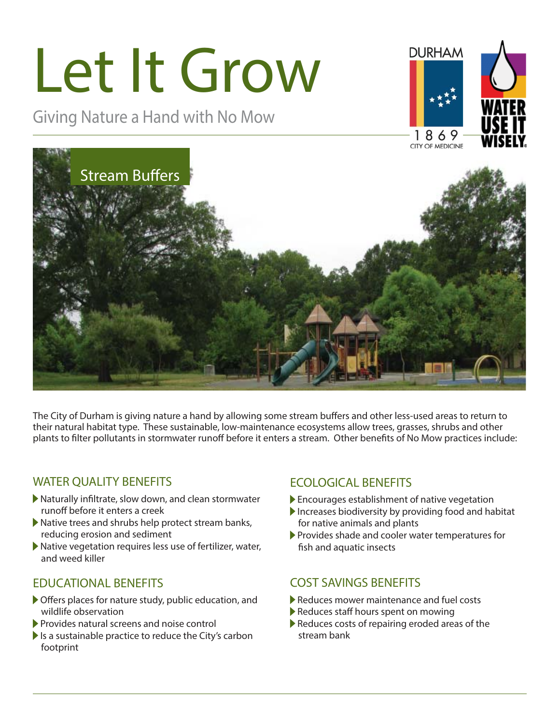# Let It Grow

Giving Nature a Hand with No Mow







The City of Durham is giving nature a hand by allowing some stream buffers and other less-used areas to return to their natural habitat type. These sustainable, low-maintenance ecosystems allow trees, grasses, shrubs and other plants to filter pollutants in stormwater runoff before it enters a stream. Other benefits of No Mow practices include:

### WATER QUALITY BENEFITS

- $\blacktriangleright$  Naturally infiltrate, slow down, and clean stormwater runoff before it enters a creek
- Native trees and shrubs help protect stream banks, reducing erosion and sediment
- Native vegetation requires less use of fertilizer, water, and weed killer

### EDUCATIONAL BENEFITS

- $\triangleright$  Offers places for nature study, public education, and wildlife observation
- Provides natural screens and noise control
- Is a sustainable practice to reduce the City's carbon footprint

### ECOLOGICAL BENEFITS

- Encourages establishment of native vegetation
- $\blacktriangleright$  Increases biodiversity by providing food and habitat for native animals and plants
- Provides shade and cooler water temperatures for fish and aquatic insects

### COST SAVINGS BENEFITS

- Reduces mower maintenance and fuel costs
- Reduces staff hours spent on mowing
- Reduces costs of repairing eroded areas of the stream bank